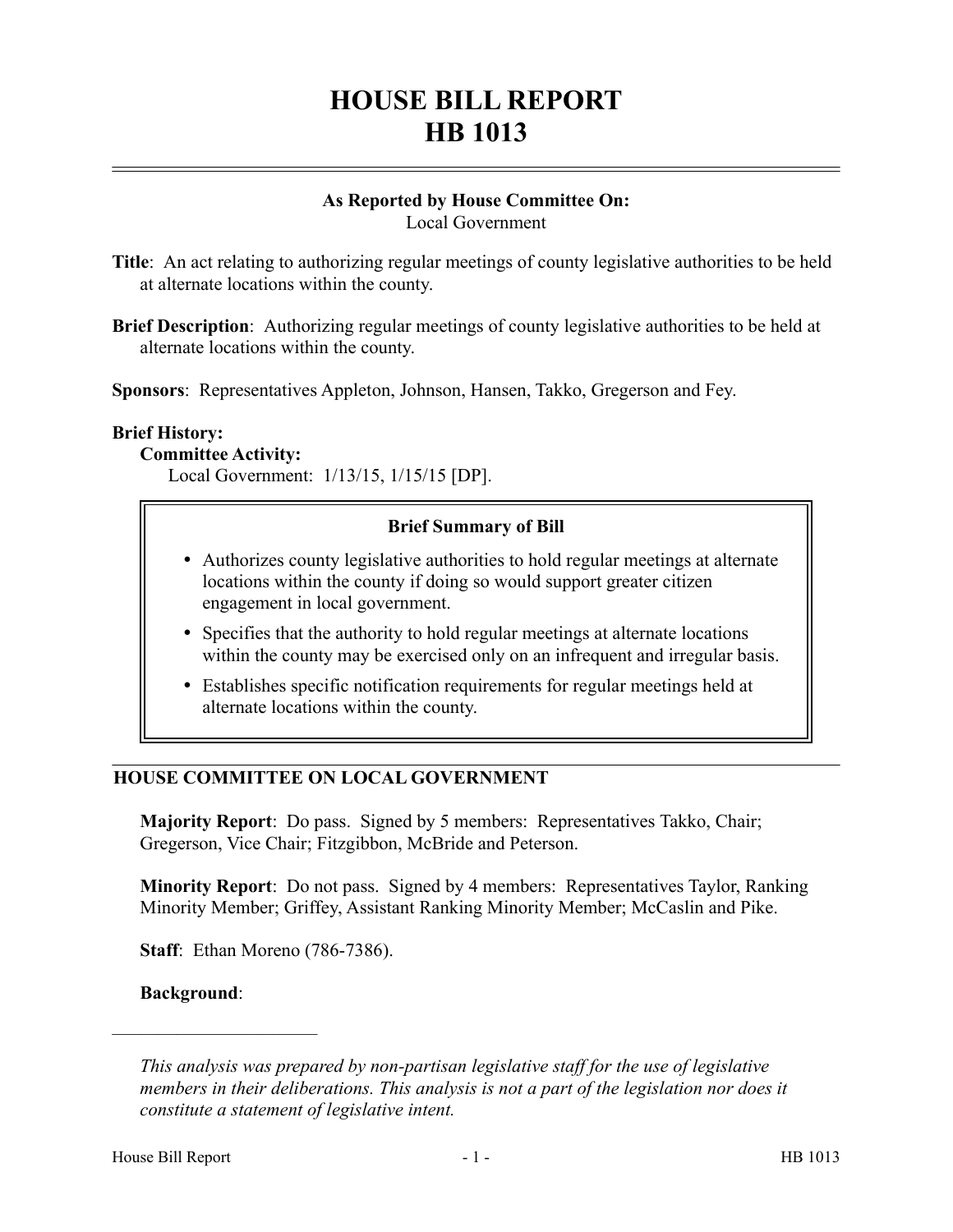# **HOUSE BILL REPORT HB 1013**

#### **As Reported by House Committee On:** Local Government

- **Title**: An act relating to authorizing regular meetings of county legislative authorities to be held at alternate locations within the county.
- **Brief Description**: Authorizing regular meetings of county legislative authorities to be held at alternate locations within the county.

**Sponsors**: Representatives Appleton, Johnson, Hansen, Takko, Gregerson and Fey.

#### **Brief History:**

### **Committee Activity:**

Local Government: 1/13/15, 1/15/15 [DP].

## **Brief Summary of Bill**

- Authorizes county legislative authorities to hold regular meetings at alternate locations within the county if doing so would support greater citizen engagement in local government.
- Specifies that the authority to hold regular meetings at alternate locations within the county may be exercised only on an infrequent and irregular basis.
- Establishes specific notification requirements for regular meetings held at alternate locations within the county.

## **HOUSE COMMITTEE ON LOCAL GOVERNMENT**

**Majority Report**: Do pass. Signed by 5 members: Representatives Takko, Chair; Gregerson, Vice Chair; Fitzgibbon, McBride and Peterson.

**Minority Report**: Do not pass. Signed by 4 members: Representatives Taylor, Ranking Minority Member; Griffey, Assistant Ranking Minority Member; McCaslin and Pike.

**Staff**: Ethan Moreno (786-7386).

**Background**:

––––––––––––––––––––––

*This analysis was prepared by non-partisan legislative staff for the use of legislative members in their deliberations. This analysis is not a part of the legislation nor does it constitute a statement of legislative intent.*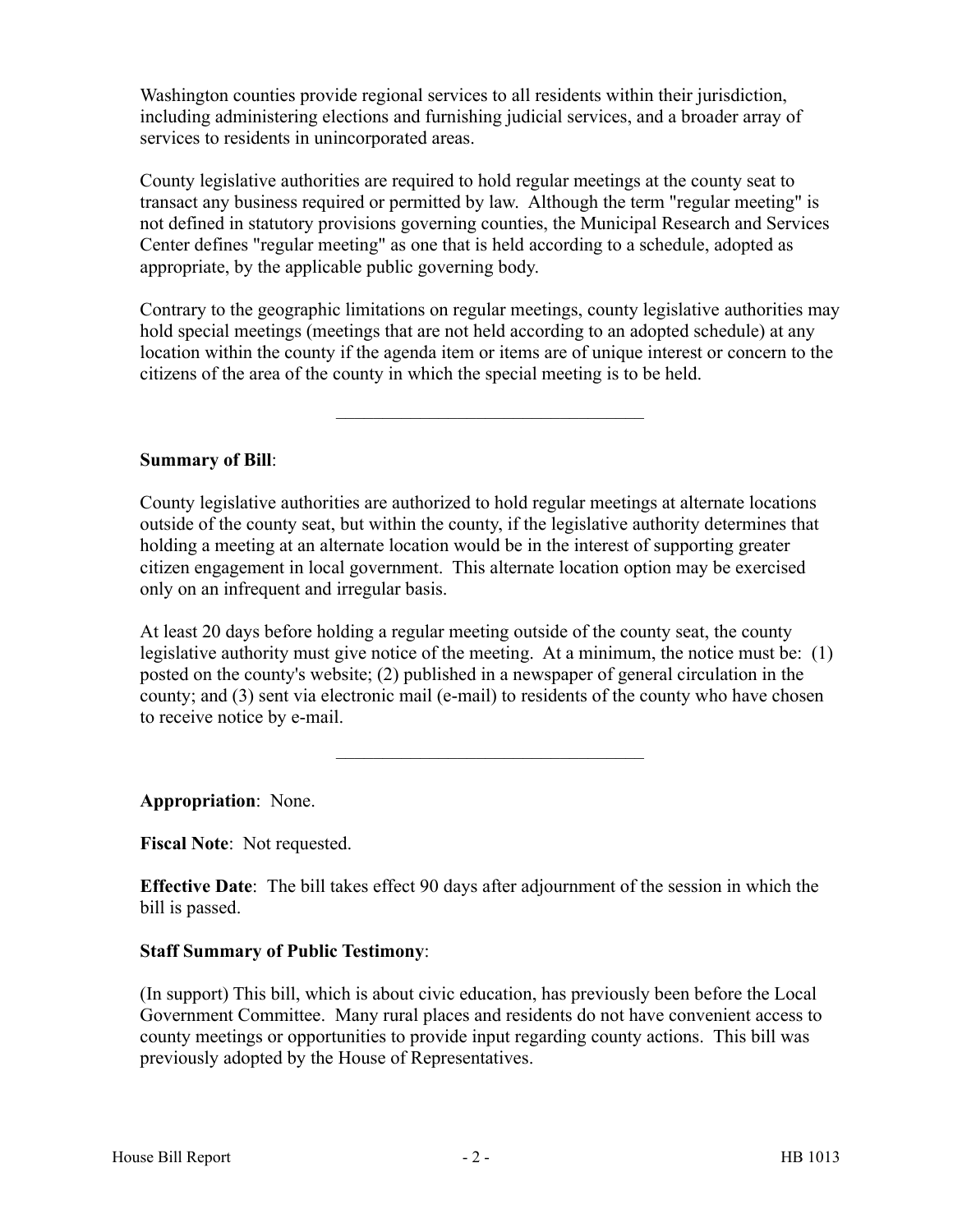Washington counties provide regional services to all residents within their jurisdiction, including administering elections and furnishing judicial services, and a broader array of services to residents in unincorporated areas.

County legislative authorities are required to hold regular meetings at the county seat to transact any business required or permitted by law. Although the term "regular meeting" is not defined in statutory provisions governing counties, the Municipal Research and Services Center defines "regular meeting" as one that is held according to a schedule, adopted as appropriate, by the applicable public governing body.

Contrary to the geographic limitations on regular meetings, county legislative authorities may hold special meetings (meetings that are not held according to an adopted schedule) at any location within the county if the agenda item or items are of unique interest or concern to the citizens of the area of the county in which the special meeting is to be held.

–––––––––––––––––––––––––––––––––

### **Summary of Bill**:

County legislative authorities are authorized to hold regular meetings at alternate locations outside of the county seat, but within the county, if the legislative authority determines that holding a meeting at an alternate location would be in the interest of supporting greater citizen engagement in local government. This alternate location option may be exercised only on an infrequent and irregular basis.

At least 20 days before holding a regular meeting outside of the county seat, the county legislative authority must give notice of the meeting. At a minimum, the notice must be: (1) posted on the county's website; (2) published in a newspaper of general circulation in the county; and (3) sent via electronic mail (e-mail) to residents of the county who have chosen to receive notice by e-mail.

–––––––––––––––––––––––––––––––––

**Appropriation**: None.

**Fiscal Note**: Not requested.

**Effective Date**: The bill takes effect 90 days after adjournment of the session in which the bill is passed.

#### **Staff Summary of Public Testimony**:

(In support) This bill, which is about civic education, has previously been before the Local Government Committee. Many rural places and residents do not have convenient access to county meetings or opportunities to provide input regarding county actions. This bill was previously adopted by the House of Representatives.